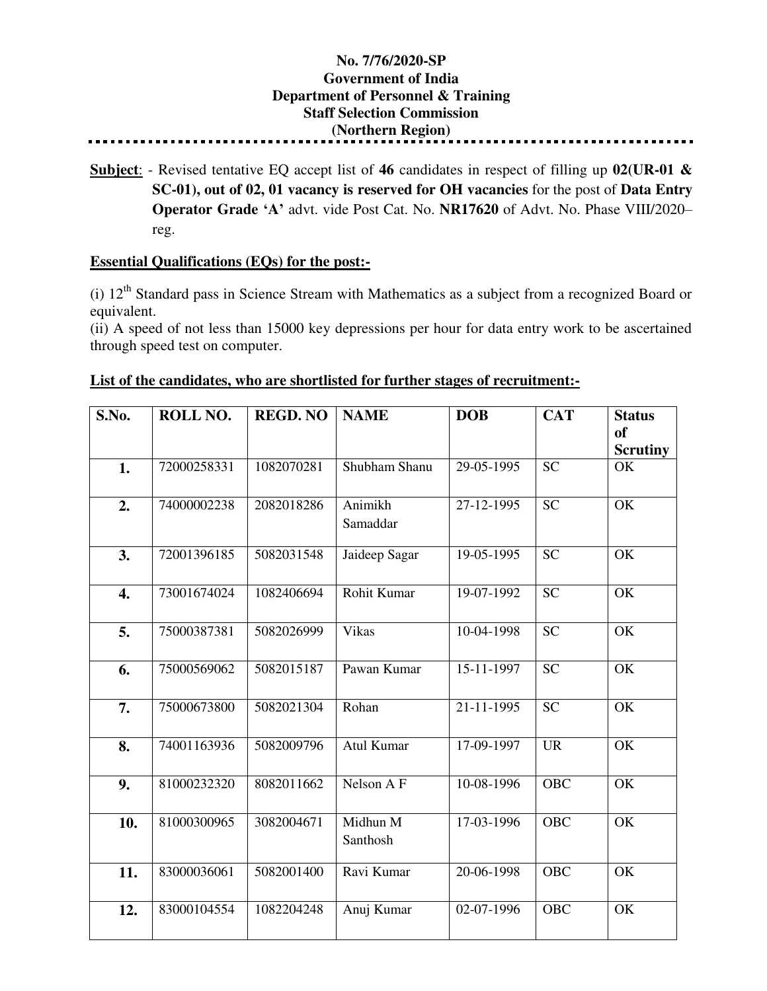## **No. 7/76/2020-SP Government of India Department of Personnel & Training Staff Selection Commission (Northern Region)**

**Subject**: - Revised tentative EQ accept list of **46** candidates in respect of filling up **02(UR-01 & SC-01), out of 02, 01 vacancy is reserved for OH vacancies** for the post of **Data Entry Operator Grade 'A'** advt. vide Post Cat. No. **NR17620** of Advt. No. Phase VIII/2020– reg.

## **Essential Qualifications (EQs) for the post:-**

(i)  $12<sup>th</sup>$  Standard pass in Science Stream with Mathematics as a subject from a recognized Board or equivalent.

(ii) A speed of not less than 15000 key depressions per hour for data entry work to be ascertained through speed test on computer.

| S.No.            | ROLL NO.    | <b>REGD. NO</b> | <b>NAME</b>          | <b>DOB</b>               | <b>CAT</b>      | <b>Status</b>                |
|------------------|-------------|-----------------|----------------------|--------------------------|-----------------|------------------------------|
|                  |             |                 |                      |                          |                 | <b>of</b><br><b>Scrutiny</b> |
| 1.               | 72000258331 | 1082070281      | Shubham Shanu        | 29-05-1995               | $\overline{SC}$ | OK                           |
| 2.               | 74000002238 | 2082018286      | Animikh<br>Samaddar  | 27-12-1995               | <b>SC</b>       | OK                           |
| 3.               | 72001396185 | 5082031548      | Jaideep Sagar        | $\overline{19}$ -05-1995 | $\overline{SC}$ | $\overline{\text{OK}}$       |
| $\overline{4}$ . | 73001674024 | 1082406694      | Rohit Kumar          | 19-07-1992               | <b>SC</b>       | OK                           |
| 5.               | 75000387381 | 5082026999      | Vikas                | 10-04-1998               | <b>SC</b>       | OK                           |
| 6.               | 75000569062 | 5082015187      | Pawan Kumar          | $15 - 11 - 1997$         | $\overline{SC}$ | OK                           |
| 7.               | 75000673800 | 5082021304      | Rohan                | 21-11-1995               | <b>SC</b>       | OK                           |
| 8.               | 74001163936 | 5082009796      | Atul Kumar           | 17-09-1997               | <b>UR</b>       | OK                           |
| 9.               | 81000232320 | 8082011662      | Nelson A F           | 10-08-1996               | OBC             | OK                           |
| 10.              | 81000300965 | 3082004671      | Midhun M<br>Santhosh | 17-03-1996               | <b>OBC</b>      | OK                           |
| 11.              | 83000036061 | 5082001400      | Ravi Kumar           | 20-06-1998               | <b>OBC</b>      | OK                           |
| 12.              | 83000104554 | 1082204248      | Anuj Kumar           | 02-07-1996               | <b>OBC</b>      | OK                           |

## **List of the candidates, who are shortlisted for further stages of recruitment:-**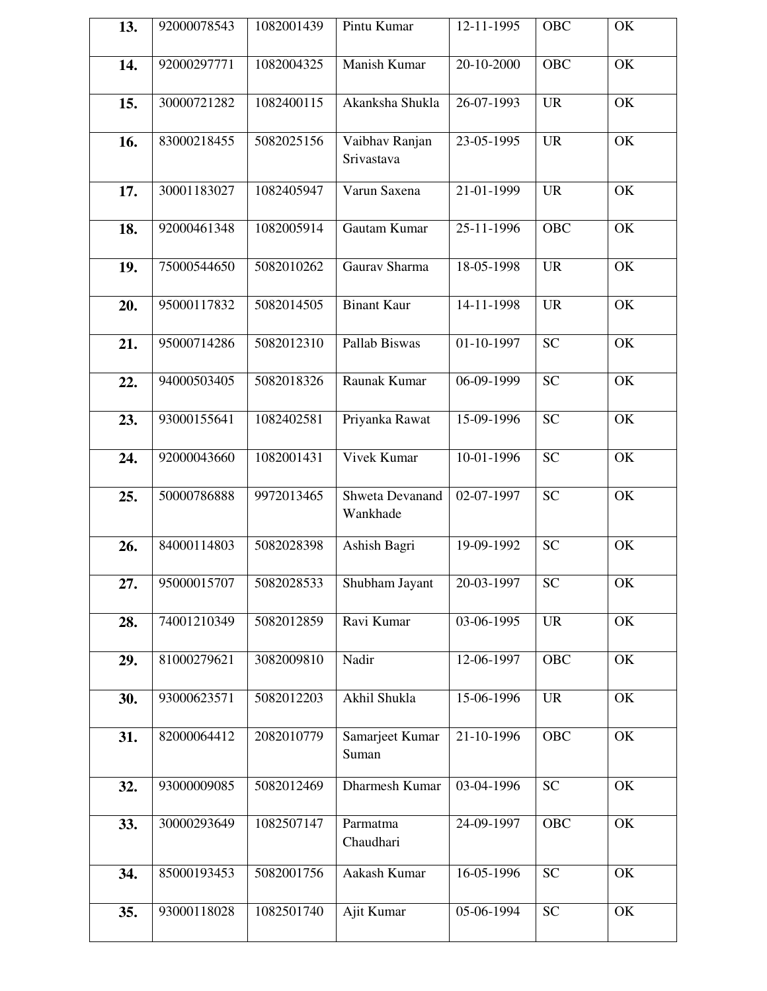| 13. | 92000078543 | 1082001439 | Pintu Kumar                  | 12-11-1995                  | <b>OBC</b> | OK        |
|-----|-------------|------------|------------------------------|-----------------------------|------------|-----------|
| 14. | 92000297771 | 1082004325 | Manish Kumar                 | 20-10-2000                  | <b>OBC</b> | <b>OK</b> |
| 15. | 30000721282 | 1082400115 | Akanksha Shukla              | 26-07-1993                  | <b>UR</b>  | OK        |
| 16. | 83000218455 | 5082025156 | Vaibhav Ranjan<br>Srivastava | 23-05-1995                  | <b>UR</b>  | OK        |
| 17. | 30001183027 | 1082405947 | Varun Saxena                 | 21-01-1999                  | <b>UR</b>  | OK        |
| 18. | 92000461348 | 1082005914 | Gautam Kumar                 | 25-11-1996                  | <b>OBC</b> | OK        |
| 19. | 75000544650 | 5082010262 | Gaurav Sharma                | 18-05-1998                  | <b>UR</b>  | OK        |
| 20. | 95000117832 | 5082014505 | <b>Binant Kaur</b>           | $\overline{14} - 11 - 1998$ | <b>UR</b>  | OK        |
| 21. | 95000714286 | 5082012310 | Pallab Biswas                | 01-10-1997                  | <b>SC</b>  | OK        |
| 22. | 94000503405 | 5082018326 | Raunak Kumar                 | 06-09-1999                  | <b>SC</b>  | OK        |
| 23. | 93000155641 | 1082402581 | Priyanka Rawat               | 15-09-1996                  | <b>SC</b>  | OK        |
| 24. | 92000043660 | 1082001431 | <b>Vivek Kumar</b>           | 10-01-1996                  | <b>SC</b>  | OK        |
| 25. | 50000786888 | 9972013465 | Shweta Devanand<br>Wankhade  | 02-07-1997                  | <b>SC</b>  | OK        |
| 26. | 84000114803 | 5082028398 | Ashish Bagri                 | 19-09-1992                  | <b>SC</b>  | OK        |
| 27. | 95000015707 | 5082028533 | Shubham Jayant               | 20-03-1997                  | SC         | OK        |
| 28. | 74001210349 | 5082012859 | Ravi Kumar                   | 03-06-1995                  | <b>UR</b>  | OK        |
| 29. | 81000279621 | 3082009810 | Nadir                        | 12-06-1997                  | <b>OBC</b> | OK        |
| 30. | 93000623571 | 5082012203 | Akhil Shukla                 | 15-06-1996                  | <b>UR</b>  | OK        |
| 31. | 82000064412 | 2082010779 | Samarjeet Kumar<br>Suman     | 21-10-1996                  | <b>OBC</b> | OK        |
| 32. | 93000009085 | 5082012469 | Dharmesh Kumar               | 03-04-1996                  | <b>SC</b>  | OK        |
| 33. | 30000293649 | 1082507147 | Parmatma<br>Chaudhari        | 24-09-1997                  | OBC        | OK        |
| 34. | 85000193453 | 5082001756 | Aakash Kumar                 | 16-05-1996                  | <b>SC</b>  | OK        |
| 35. | 93000118028 | 1082501740 | Ajit Kumar                   | 05-06-1994                  | <b>SC</b>  | OK        |